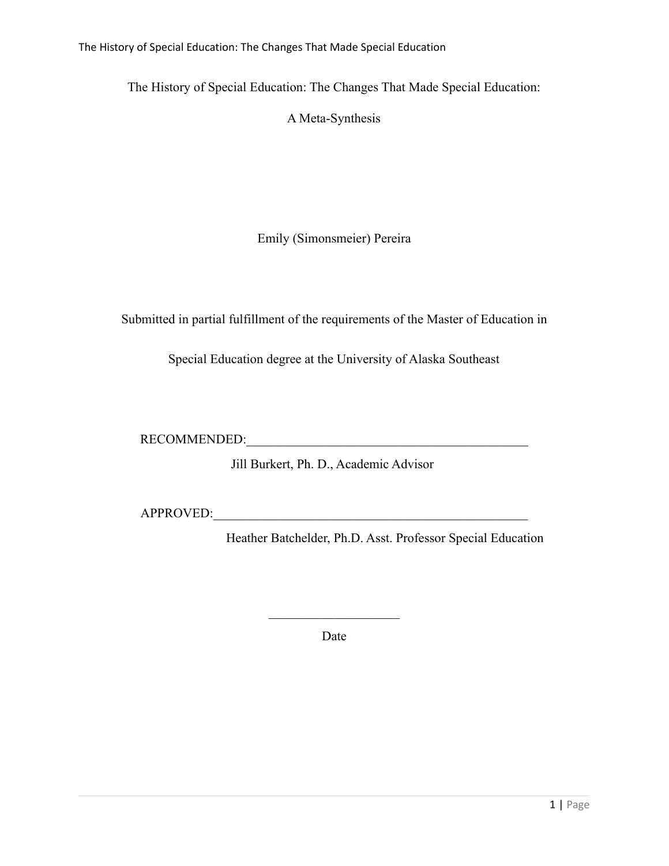The History of Special Education: The Changes That Made Special Education

The History of Special Education: The Changes That Made Special Education:

A Meta-Synthesis

Emily (Simonsmeier) Pereira

Submitted in partial fulfillment of the requirements of the Master of Education in

Special Education degree at the University of Alaska Southeast

RECOMMENDED:

Jill Burkert, Ph. D., Academic Advisor

APPROVED:

Heather Batchelder, Ph.D. Asst. Professor Special Education

Date

 $\mathcal{L}_\text{max}$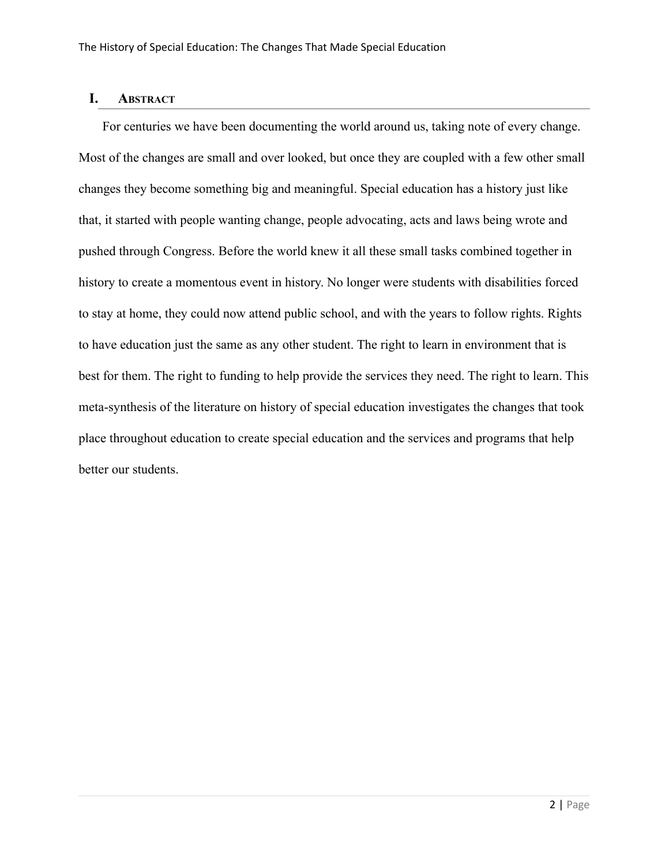### **I. ABSTRACT**

For centuries we have been documenting the world around us, taking note of every change. Most of the changes are small and over looked, but once they are coupled with a few other small changes they become something big and meaningful. Special education has a history just like that, it started with people wanting change, people advocating, acts and laws being wrote and pushed through Congress. Before the world knew it all these small tasks combined together in history to create a momentous event in history. No longer were students with disabilities forced to stay at home, they could now attend public school, and with the years to follow rights. Rights to have education just the same as any other student. The right to learn in environment that is best for them. The right to funding to help provide the services they need. The right to learn. This meta-synthesis of the literature on history of special education investigates the changes that took place throughout education to create special education and the services and programs that help better our students.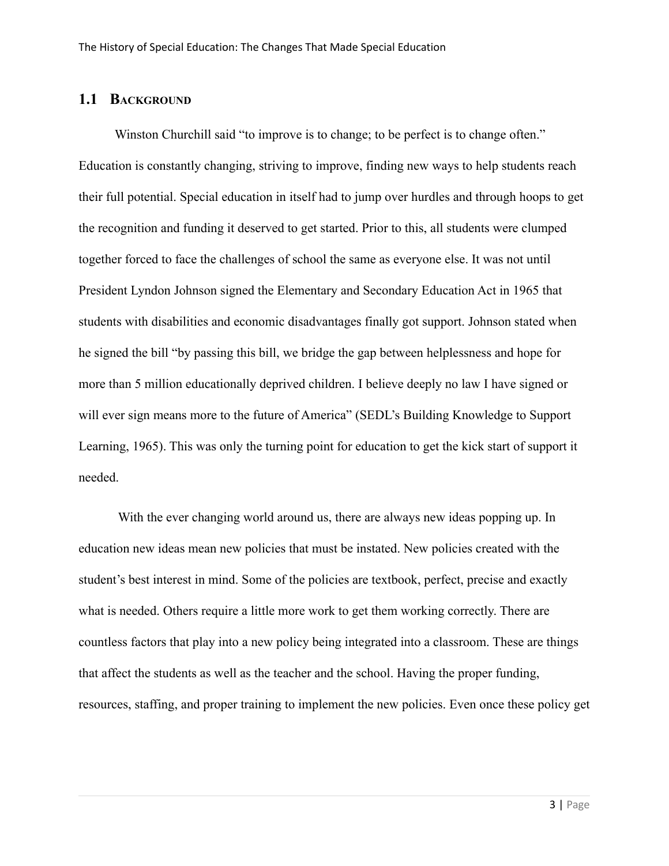### **1.1 BACKGROUND**

Winston Churchill said "to improve is to change; to be perfect is to change often." Education is constantly changing, striving to improve, finding new ways to help students reach their full potential. Special education in itself had to jump over hurdles and through hoops to get the recognition and funding it deserved to get started. Prior to this, all students were clumped together forced to face the challenges of school the same as everyone else. It was not until President Lyndon Johnson signed the Elementary and Secondary Education Act in 1965 that students with disabilities and economic disadvantages finally got support. Johnson stated when he signed the bill "by passing this bill, we bridge the gap between helplessness and hope for more than 5 million educationally deprived children. I believe deeply no law I have signed or will ever sign means more to the future of America" (SEDL's Building Knowledge to Support Learning, 1965). This was only the turning point for education to get the kick start of support it needed.

With the ever changing world around us, there are always new ideas popping up. In education new ideas mean new policies that must be instated. New policies created with the student's best interest in mind. Some of the policies are textbook, perfect, precise and exactly what is needed. Others require a little more work to get them working correctly. There are countless factors that play into a new policy being integrated into a classroom. These are things that affect the students as well as the teacher and the school. Having the proper funding, resources, staffing, and proper training to implement the new policies. Even once these policy get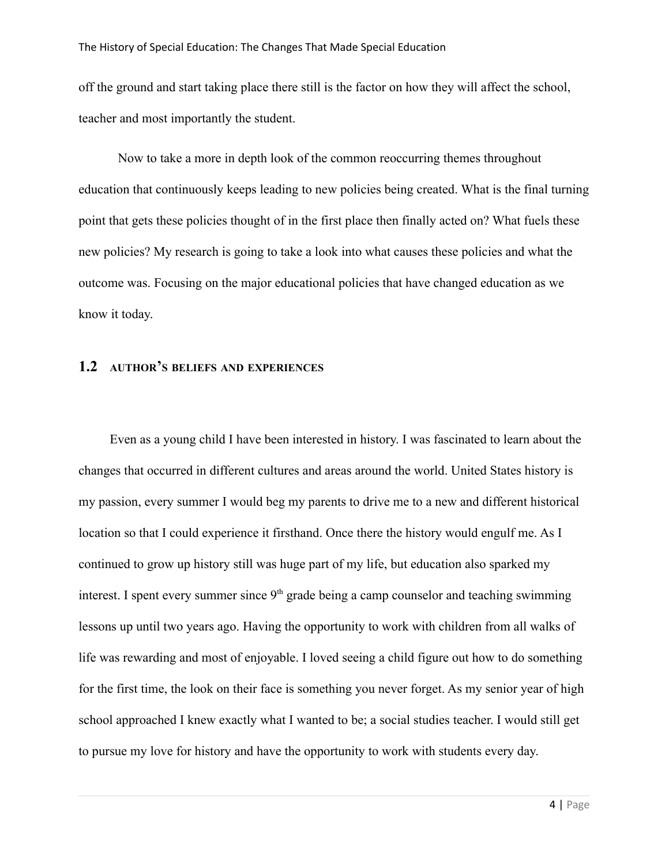off the ground and start taking place there still is the factor on how they will affect the school, teacher and most importantly the student.

Now to take a more in depth look of the common reoccurring themes throughout education that continuously keeps leading to new policies being created. What is the final turning point that gets these policies thought of in the first place then finally acted on? What fuels these new policies? My research is going to take a look into what causes these policies and what the outcome was. Focusing on the major educational policies that have changed education as we know it today.

### **1.2 AUTHOR'S BELIEFS AND EXPERIENCES**

Even as a young child I have been interested in history. I was fascinated to learn about the changes that occurred in different cultures and areas around the world. United States history is my passion, every summer I would beg my parents to drive me to a new and different historical location so that I could experience it firsthand. Once there the history would engulf me. As I continued to grow up history still was huge part of my life, but education also sparked my interest. I spent every summer since  $9<sup>th</sup>$  grade being a camp counselor and teaching swimming lessons up until two years ago. Having the opportunity to work with children from all walks of life was rewarding and most of enjoyable. I loved seeing a child figure out how to do something for the first time, the look on their face is something you never forget. As my senior year of high school approached I knew exactly what I wanted to be; a social studies teacher. I would still get to pursue my love for history and have the opportunity to work with students every day.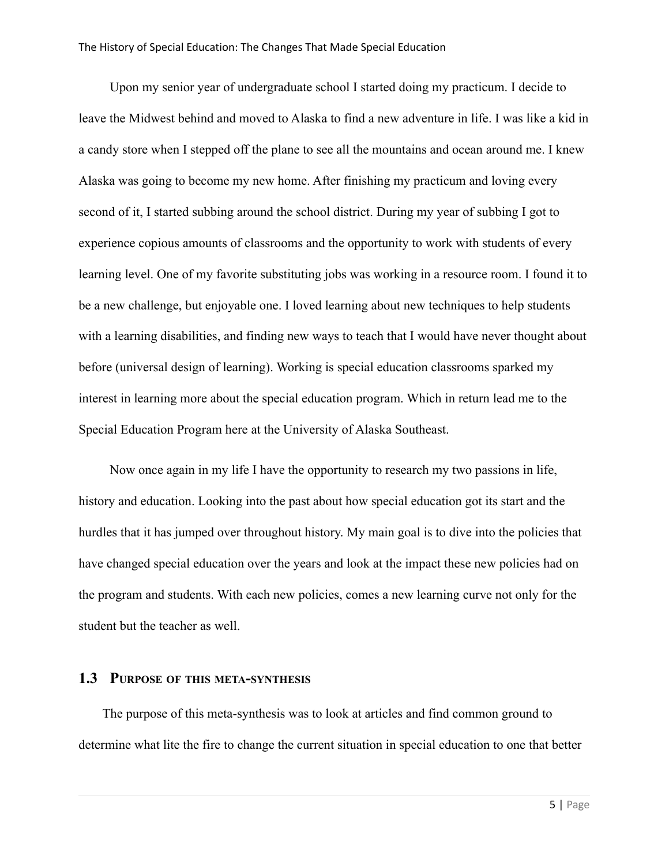Upon my senior year of undergraduate school I started doing my practicum. I decide to leave the Midwest behind and moved to Alaska to find a new adventure in life. I was like a kid in a candy store when I stepped off the plane to see all the mountains and ocean around me. I knew Alaska was going to become my new home. After finishing my practicum and loving every second of it, I started subbing around the school district. During my year of subbing I got to experience copious amounts of classrooms and the opportunity to work with students of every learning level. One of my favorite substituting jobs was working in a resource room. I found it to be a new challenge, but enjoyable one. I loved learning about new techniques to help students with a learning disabilities, and finding new ways to teach that I would have never thought about before (universal design of learning). Working is special education classrooms sparked my interest in learning more about the special education program. Which in return lead me to the Special Education Program here at the University of Alaska Southeast.

Now once again in my life I have the opportunity to research my two passions in life, history and education. Looking into the past about how special education got its start and the hurdles that it has jumped over throughout history. My main goal is to dive into the policies that have changed special education over the years and look at the impact these new policies had on the program and students. With each new policies, comes a new learning curve not only for the student but the teacher as well.

### **1.3 PURPOSE OF THIS META-SYNTHESIS**

The purpose of this meta-synthesis was to look at articles and find common ground to determine what lite the fire to change the current situation in special education to one that better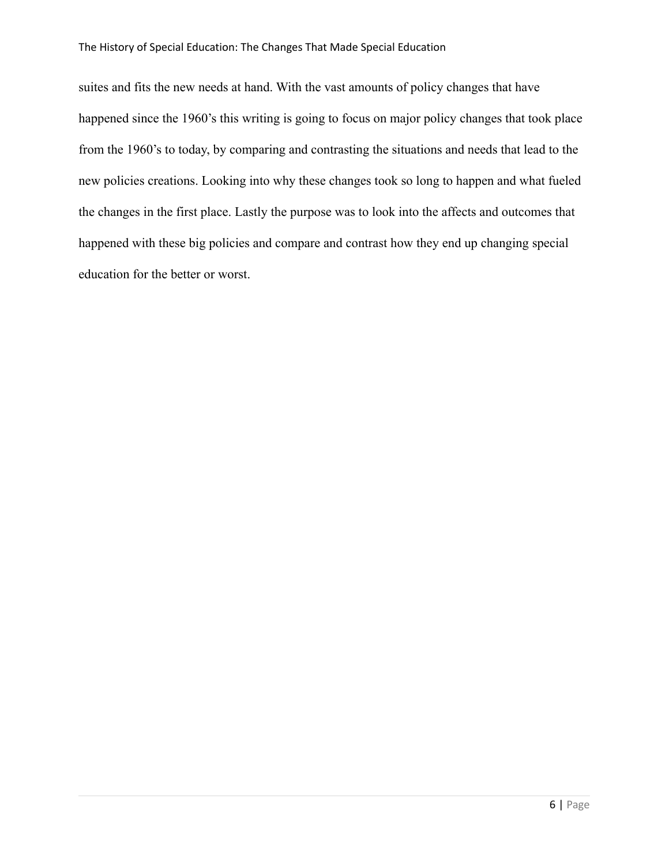#### The History of Special Education: The Changes That Made Special Education

suites and fits the new needs at hand. With the vast amounts of policy changes that have happened since the 1960's this writing is going to focus on major policy changes that took place from the 1960's to today, by comparing and contrasting the situations and needs that lead to the new policies creations. Looking into why these changes took so long to happen and what fueled the changes in the first place. Lastly the purpose was to look into the affects and outcomes that happened with these big policies and compare and contrast how they end up changing special education for the better or worst.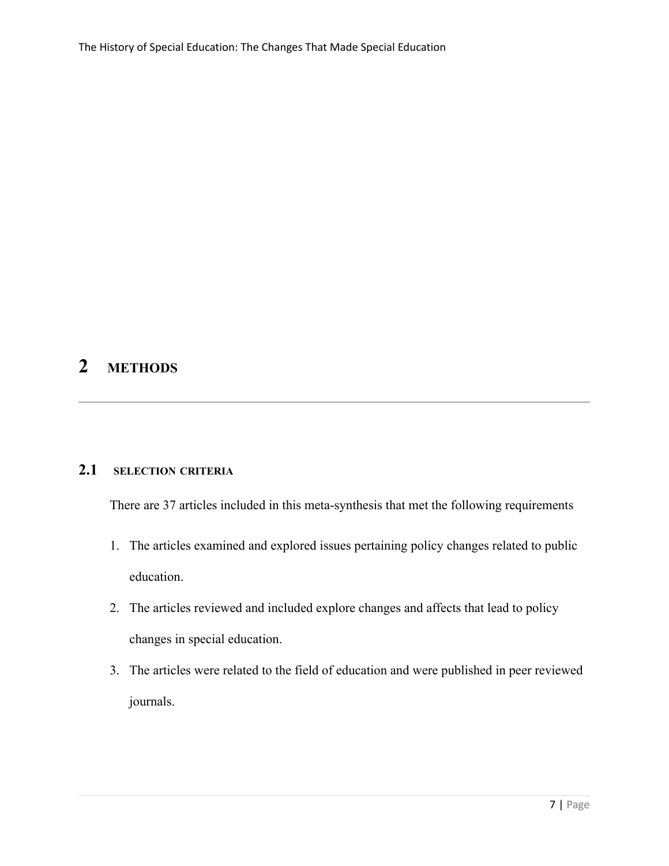# **2 METHODS**

### **2.1 SELECTION CRITERIA**

There are 37 articles included in this meta-synthesis that met the following requirements

- 1. The articles examined and explored issues pertaining policy changes related to public education.
- 2. The articles reviewed and included explore changes and affects that lead to policy changes in special education.
- 3. The articles were related to the field of education and were published in peer reviewed journals.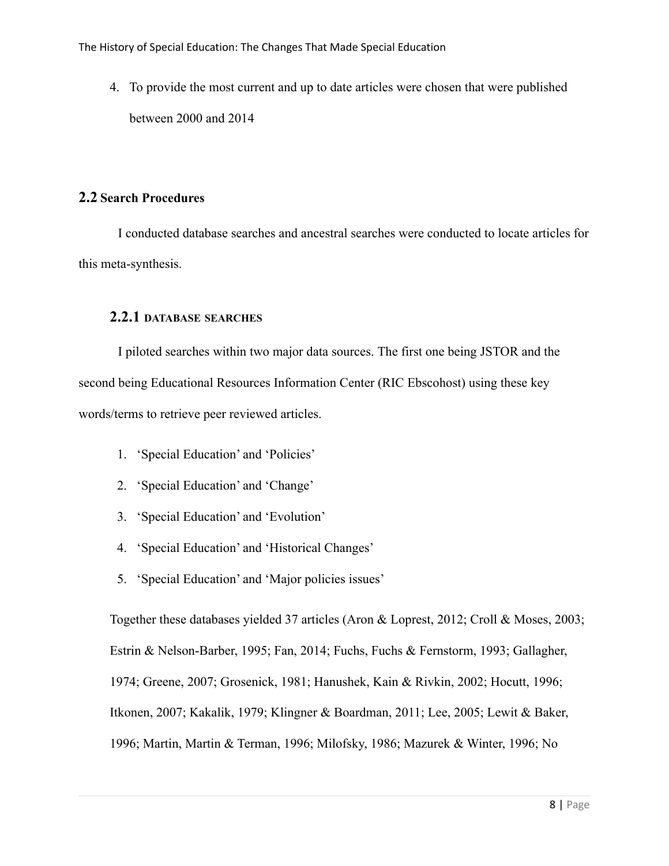4. To provide the most current and up to date articles were chosen that were published between 2000 and 2014

### **2.2 Search Procedures**

I conducted database searches and ancestral searches were conducted to locate articles for this meta-synthesis.

### **2.2.1 DATABASE SEARCHES**

I piloted searches within two major data sources. The first one being JSTOR and the second being Educational Resources Information Center (RIC Ebscohost) using these key words/terms to retrieve peer reviewed articles.

- 1. 'Special Education' and 'Policies'
- 2. 'Special Education' and 'Change'
- 3. 'Special Education' and 'Evolution'
- 4. 'Special Education' and 'Historical Changes'
- 5. 'Special Education' and 'Major policies issues'

Together these databases yielded 37 articles (Aron & Loprest, 2012; Croll & Moses, 2003; Estrin & Nelson-Barber, 1995; Fan, 2014; Fuchs, Fuchs & Fernstorm, 1993; Gallagher, 1974; Greene, 2007; Grosenick, 1981; Hanushek, Kain & Rivkin, 2002; Hocutt, 1996; Itkonen, 2007; Kakalik, 1979; Klingner & Boardman, 2011; Lee, 2005; Lewit & Baker, 1996; Martin, Martin & Terman, 1996; Milofsky, 1986; Mazurek & Winter, 1996; No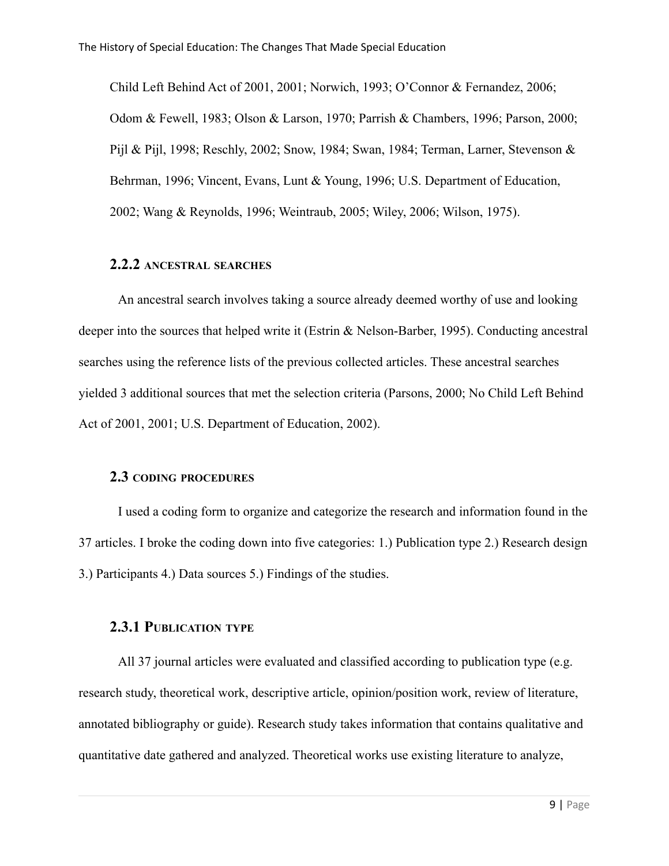Child Left Behind Act of 2001, 2001; Norwich, 1993; O'Connor & Fernandez, 2006; Odom & Fewell, 1983; Olson & Larson, 1970; Parrish & Chambers, 1996; Parson, 2000; Pijl & Pijl, 1998; Reschly, 2002; Snow, 1984; Swan, 1984; Terman, Larner, Stevenson & Behrman, 1996; Vincent, Evans, Lunt & Young, 1996; U.S. Department of Education, 2002; Wang & Reynolds, 1996; Weintraub, 2005; Wiley, 2006; Wilson, 1975).

### **2.2.2 ANCESTRAL SEARCHES**

An ancestral search involves taking a source already deemed worthy of use and looking deeper into the sources that helped write it (Estrin & Nelson-Barber, 1995). Conducting ancestral searches using the reference lists of the previous collected articles. These ancestral searches yielded 3 additional sources that met the selection criteria (Parsons, 2000; No Child Left Behind Act of 2001, 2001; U.S. Department of Education, 2002).

### **2.3 CODING PROCEDURES**

I used a coding form to organize and categorize the research and information found in the 37 articles. I broke the coding down into five categories: 1.) Publication type 2.) Research design 3.) Participants 4.) Data sources 5.) Findings of the studies.

### **2.3.1 PUBLICATION TYPE**

All 37 journal articles were evaluated and classified according to publication type (e.g. research study, theoretical work, descriptive article, opinion/position work, review of literature, annotated bibliography or guide). Research study takes information that contains qualitative and quantitative date gathered and analyzed. Theoretical works use existing literature to analyze,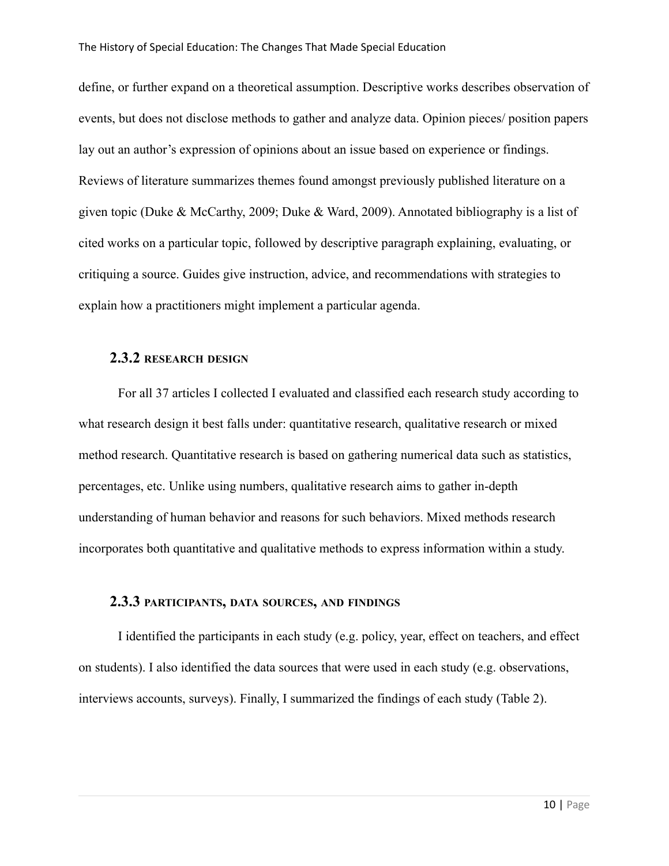define, or further expand on a theoretical assumption. Descriptive works describes observation of events, but does not disclose methods to gather and analyze data. Opinion pieces/ position papers lay out an author's expression of opinions about an issue based on experience or findings. Reviews of literature summarizes themes found amongst previously published literature on a given topic (Duke & McCarthy, 2009; Duke & Ward, 2009). Annotated bibliography is a list of cited works on a particular topic, followed by descriptive paragraph explaining, evaluating, or critiquing a source. Guides give instruction, advice, and recommendations with strategies to explain how a practitioners might implement a particular agenda.

### **2.3.2 RESEARCH DESIGN**

For all 37 articles I collected I evaluated and classified each research study according to what research design it best falls under: quantitative research, qualitative research or mixed method research. Quantitative research is based on gathering numerical data such as statistics, percentages, etc. Unlike using numbers, qualitative research aims to gather in-depth understanding of human behavior and reasons for such behaviors. Mixed methods research incorporates both quantitative and qualitative methods to express information within a study.

### **2.3.3 PARTICIPANTS, DATA SOURCES, AND FINDINGS**

I identified the participants in each study (e.g. policy, year, effect on teachers, and effect on students). I also identified the data sources that were used in each study (e.g. observations, interviews accounts, surveys). Finally, I summarized the findings of each study (Table 2).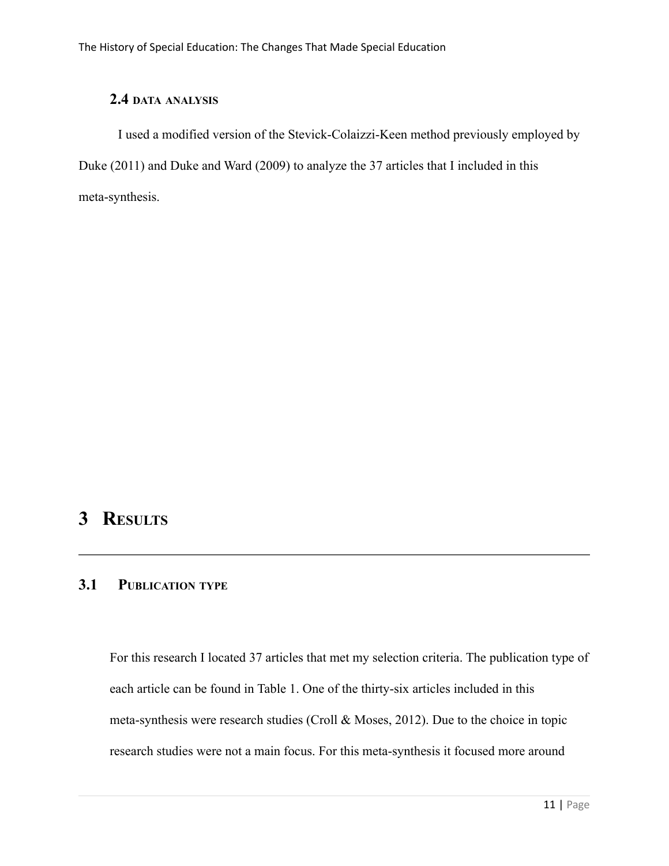## **2.4 DATA ANALYSIS**

I used a modified version of the Stevick-Colaizzi-Keen method previously employed by Duke (2011) and Duke and Ward (2009) to analyze the 37 articles that I included in this meta-synthesis.

# **3 RESULTS**

## **3.1 PUBLICATION TYPE**

For this research I located 37 articles that met my selection criteria. The publication type of each article can be found in Table 1. One of the thirty-six articles included in this meta-synthesis were research studies (Croll & Moses, 2012). Due to the choice in topic research studies were not a main focus. For this meta-synthesis it focused more around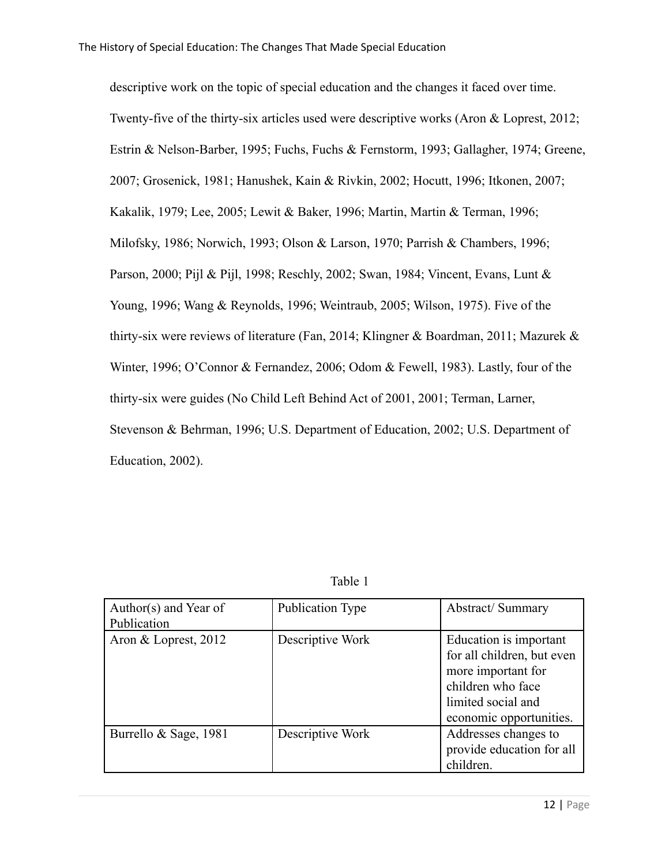descriptive work on the topic of special education and the changes it faced over time. Twenty-five of the thirty-six articles used were descriptive works (Aron & Loprest, 2012; Estrin & Nelson-Barber, 1995; Fuchs, Fuchs & Fernstorm, 1993; Gallagher, 1974; Greene, 2007; Grosenick, 1981; Hanushek, Kain & Rivkin, 2002; Hocutt, 1996; Itkonen, 2007; Kakalik, 1979; Lee, 2005; Lewit & Baker, 1996; Martin, Martin & Terman, 1996; Milofsky, 1986; Norwich, 1993; Olson & Larson, 1970; Parrish & Chambers, 1996; Parson, 2000; Pijl & Pijl, 1998; Reschly, 2002; Swan, 1984; Vincent, Evans, Lunt & Young, 1996; Wang & Reynolds, 1996; Weintraub, 2005; Wilson, 1975). Five of the thirty-six were reviews of literature (Fan, 2014; Klingner & Boardman, 2011; Mazurek & Winter, 1996; O'Connor & Fernandez, 2006; Odom & Fewell, 1983). Lastly, four of the thirty-six were guides (No Child Left Behind Act of 2001, 2001; Terman, Larner, Stevenson & Behrman, 1996; U.S. Department of Education, 2002; U.S. Department of Education, 2002).

| Author(s) and Year of<br>Publication | Publication Type | <b>Abstract/Summary</b>                                                                                                                          |
|--------------------------------------|------------------|--------------------------------------------------------------------------------------------------------------------------------------------------|
| Aron & Loprest, 2012                 | Descriptive Work | Education is important<br>for all children, but even<br>more important for<br>children who face<br>limited social and<br>economic opportunities. |
| Burrello & Sage, 1981                | Descriptive Work | Addresses changes to<br>provide education for all<br>children.                                                                                   |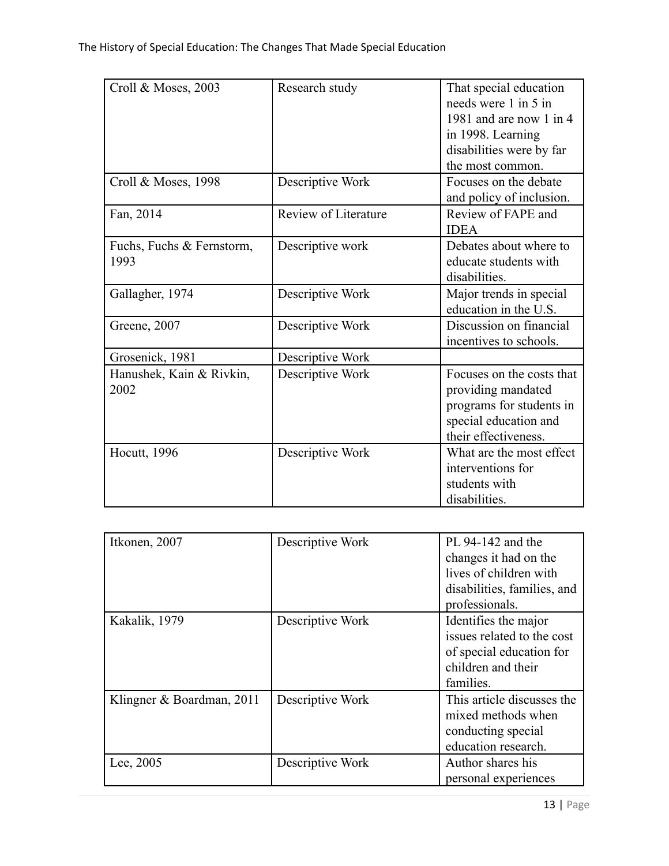| Croll & Moses, 2003       | Research study       | That special education<br>needs were 1 in 5 in |
|---------------------------|----------------------|------------------------------------------------|
|                           |                      |                                                |
|                           |                      | 1981 and are now 1 in 4                        |
|                           |                      | in 1998. Learning                              |
|                           |                      | disabilities were by far                       |
|                           |                      | the most common.                               |
| Croll & Moses, 1998       | Descriptive Work     | Focuses on the debate                          |
|                           |                      | and policy of inclusion.                       |
| Fan, 2014                 | Review of Literature | Review of FAPE and                             |
|                           |                      | <b>IDEA</b>                                    |
| Fuchs, Fuchs & Fernstorm, | Descriptive work     | Debates about where to                         |
| 1993                      |                      | educate students with                          |
|                           |                      | disabilities.                                  |
| Gallagher, 1974           | Descriptive Work     | Major trends in special                        |
|                           |                      | education in the U.S.                          |
|                           |                      | Discussion on financial                        |
| Greene, 2007              | Descriptive Work     |                                                |
|                           |                      | incentives to schools.                         |
| Grosenick, 1981           | Descriptive Work     |                                                |
| Hanushek, Kain & Rivkin,  | Descriptive Work     | Focuses on the costs that                      |
| 2002                      |                      | providing mandated                             |
|                           |                      | programs for students in                       |
|                           |                      | special education and                          |
|                           |                      | their effectiveness.                           |
| <b>Hocutt</b> , 1996      | Descriptive Work     | What are the most effect                       |
|                           |                      | interventions for                              |
|                           |                      | students with                                  |
|                           |                      |                                                |
|                           |                      | disabilities.                                  |

| Itkonen, 2007             | Descriptive Work | PL 94-142 and the<br>changes it had on the<br>lives of children with<br>disabilities, families, and<br>professionals. |
|---------------------------|------------------|-----------------------------------------------------------------------------------------------------------------------|
| Kakalik, 1979             | Descriptive Work | Identifies the major<br>issues related to the cost<br>of special education for<br>children and their<br>families.     |
| Klingner & Boardman, 2011 | Descriptive Work | This article discusses the<br>mixed methods when<br>conducting special<br>education research.                         |
| Lee, 2005                 | Descriptive Work | Author shares his<br>personal experiences                                                                             |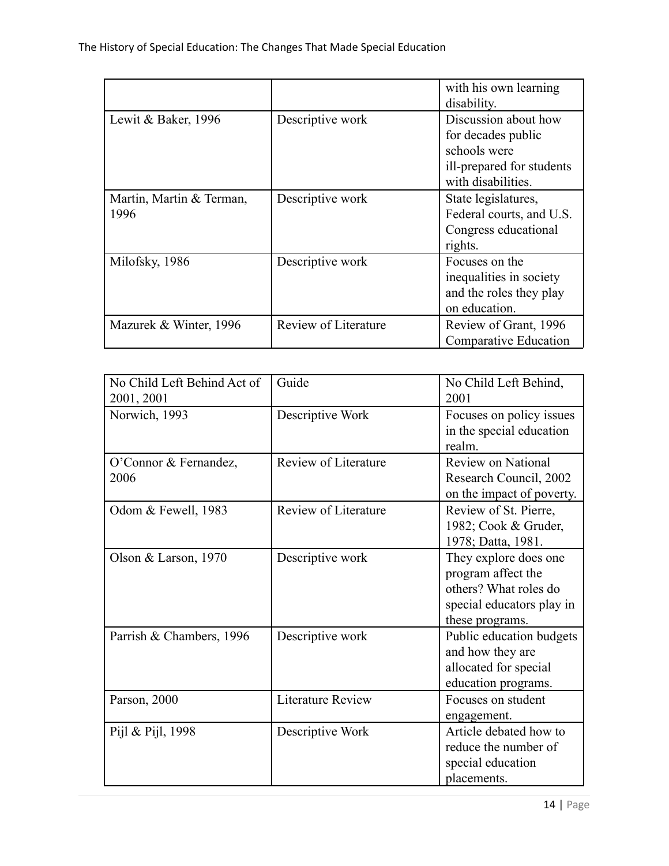|                                  |                      | with his own learning<br>disability.                                                                          |
|----------------------------------|----------------------|---------------------------------------------------------------------------------------------------------------|
| Lewit & Baker, $1996$            | Descriptive work     | Discussion about how<br>for decades public<br>schools were<br>ill-prepared for students<br>with disabilities. |
| Martin, Martin & Terman,<br>1996 | Descriptive work     | State legislatures,<br>Federal courts, and U.S.<br>Congress educational<br>rights.                            |
| Milofsky, 1986                   | Descriptive work     | Focuses on the<br>inequalities in society<br>and the roles they play<br>on education.                         |
| Mazurek & Winter, 1996           | Review of Literature | Review of Grant, 1996<br>Comparative Education                                                                |

| No Child Left Behind Act of<br>2001, 2001 | Guide                    | No Child Left Behind,<br>2001                                                                                        |
|-------------------------------------------|--------------------------|----------------------------------------------------------------------------------------------------------------------|
| Norwich, 1993                             | Descriptive Work         | Focuses on policy issues<br>in the special education<br>realm.                                                       |
| O'Connor & Fernandez,<br>2006             | Review of Literature     | <b>Review on National</b><br>Research Council, 2002<br>on the impact of poverty.                                     |
| Odom & Fewell, 1983                       | Review of Literature     | Review of St. Pierre,<br>1982; Cook & Gruder,<br>1978; Datta, 1981.                                                  |
| Olson & Larson, $1970$                    | Descriptive work         | They explore does one<br>program affect the<br>others? What roles do<br>special educators play in<br>these programs. |
| Parrish & Chambers, 1996                  | Descriptive work         | Public education budgets<br>and how they are<br>allocated for special<br>education programs.                         |
| Parson, 2000                              | <b>Literature Review</b> | Focuses on student<br>engagement.                                                                                    |
| Pijl & Pijl, 1998                         | Descriptive Work         | Article debated how to<br>reduce the number of<br>special education<br>placements.                                   |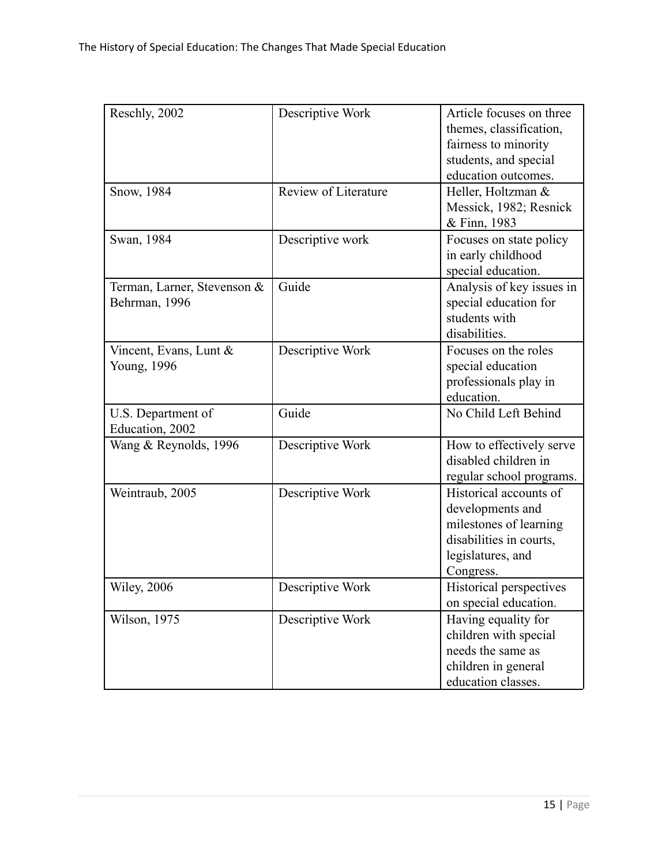| Reschly, 2002                                | Descriptive Work     | Article focuses on three<br>themes, classification,<br>fairness to minority<br>students, and special<br>education outcomes.       |
|----------------------------------------------|----------------------|-----------------------------------------------------------------------------------------------------------------------------------|
| Snow, 1984                                   | Review of Literature | Heller, Holtzman &<br>Messick, 1982; Resnick<br>& Finn, 1983                                                                      |
| Swan, 1984                                   | Descriptive work     | Focuses on state policy<br>in early childhood<br>special education.                                                               |
| Terman, Larner, Stevenson &<br>Behrman, 1996 | Guide                | Analysis of key issues in<br>special education for<br>students with<br>disabilities.                                              |
| Vincent, Evans, Lunt &<br>Young, 1996        | Descriptive Work     | Focuses on the roles<br>special education<br>professionals play in<br>education.                                                  |
| U.S. Department of<br>Education, 2002        | Guide                | No Child Left Behind                                                                                                              |
| Wang & Reynolds, 1996                        | Descriptive Work     | How to effectively serve<br>disabled children in<br>regular school programs.                                                      |
| Weintraub, 2005                              | Descriptive Work     | Historical accounts of<br>developments and<br>milestones of learning<br>disabilities in courts,<br>legislatures, and<br>Congress. |
| <b>Wiley</b> , 2006                          | Descriptive Work     | Historical perspectives<br>on special education.                                                                                  |
| Wilson, 1975                                 | Descriptive Work     | Having equality for<br>children with special<br>needs the same as<br>children in general<br>education classes.                    |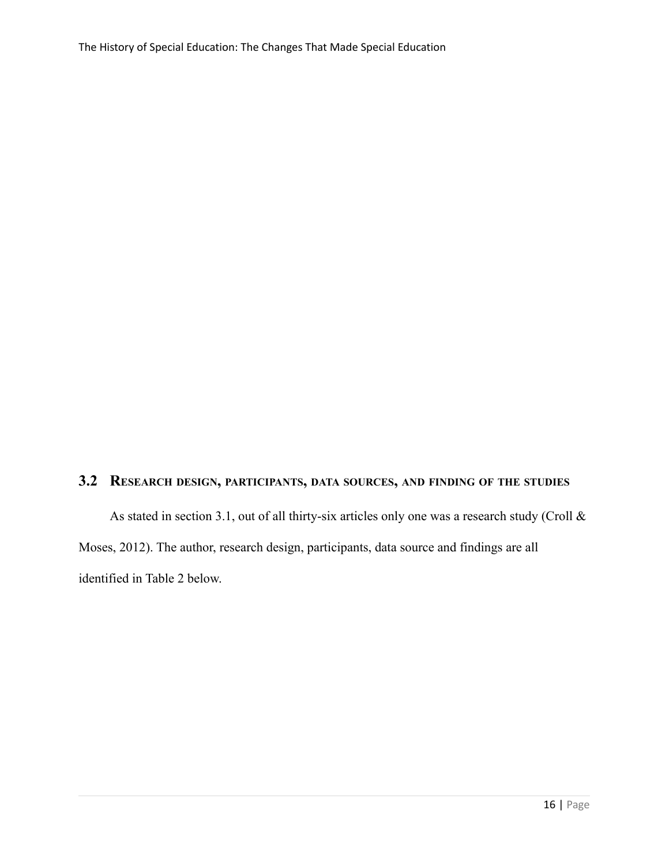## **3.2 RESEARCH DESIGN, PARTICIPANTS, DATA SOURCES, AND FINDING OF THE STUDIES**

As stated in section 3.1, out of all thirty-six articles only one was a research study (Croll & Moses, 2012). The author, research design, participants, data source and findings are all identified in Table 2 below.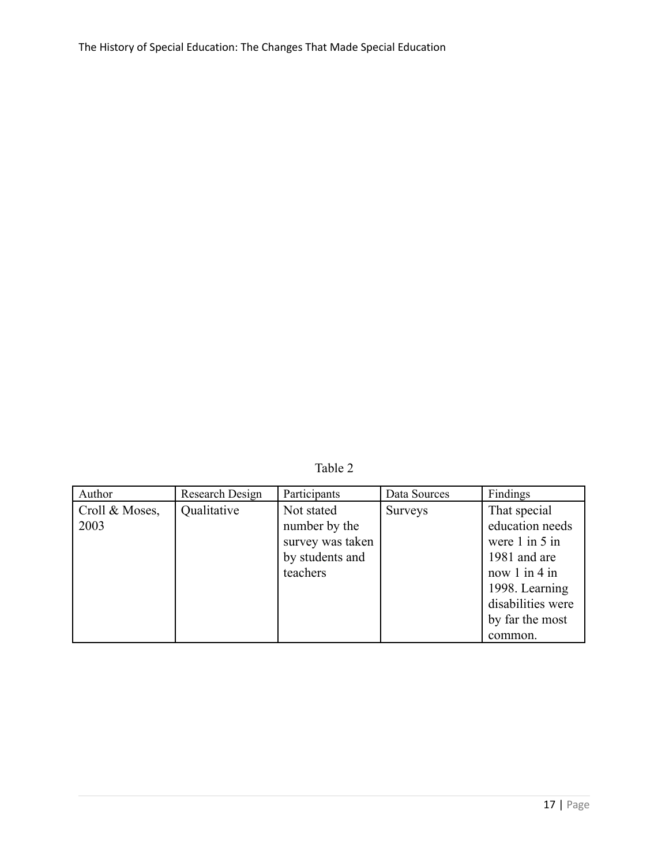Table 2

| Author                 | Research Design | Participants                                                                   | Data Sources   | Findings                                                                                                                                                        |
|------------------------|-----------------|--------------------------------------------------------------------------------|----------------|-----------------------------------------------------------------------------------------------------------------------------------------------------------------|
| Croll & Moses,<br>2003 | Qualitative     | Not stated<br>number by the<br>survey was taken<br>by students and<br>teachers | <b>Surveys</b> | That special<br>education needs<br>were $1$ in $5$ in<br>1981 and are<br>now $1$ in $4$ in<br>1998. Learning<br>disabilities were<br>by far the most<br>common. |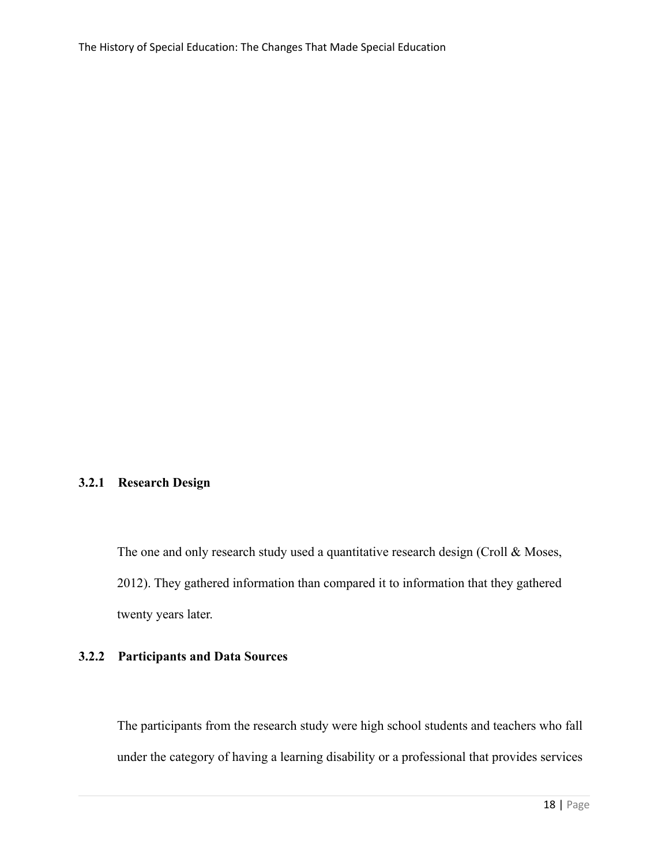### **3.2.1 Research Design**

The one and only research study used a quantitative research design (Croll & Moses, 2012). They gathered information than compared it to information that they gathered twenty years later.

### **3.2.2 Participants and Data Sources**

The participants from the research study were high school students and teachers who fall under the category of having a learning disability or a professional that provides services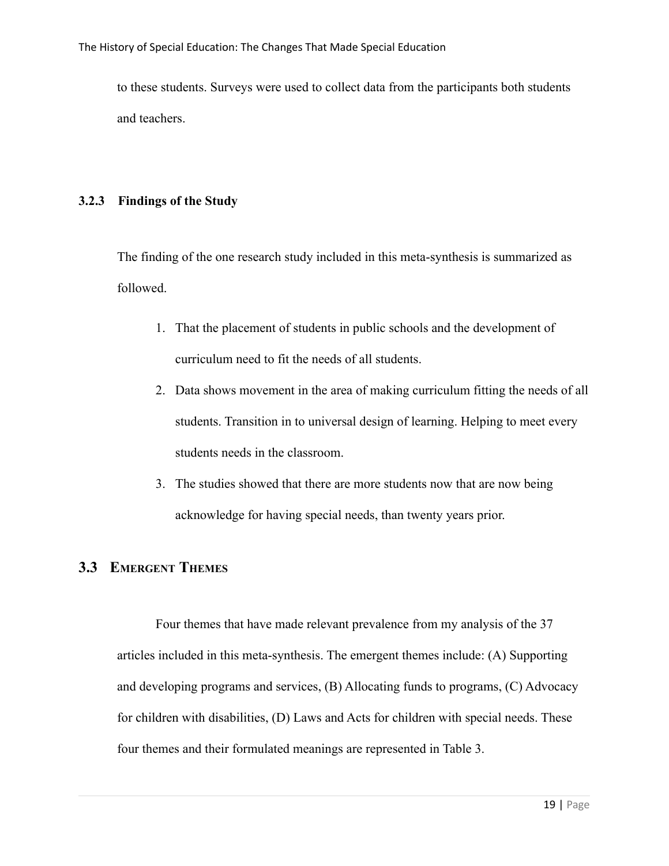to these students. Surveys were used to collect data from the participants both students and teachers.

### **3.2.3 Findings of the Study**

The finding of the one research study included in this meta-synthesis is summarized as followed.

- 1. That the placement of students in public schools and the development of curriculum need to fit the needs of all students.
- 2. Data shows movement in the area of making curriculum fitting the needs of all students. Transition in to universal design of learning. Helping to meet every students needs in the classroom.
- 3. The studies showed that there are more students now that are now being acknowledge for having special needs, than twenty years prior.

# **3.3 EMERGENT THEMES**

Four themes that have made relevant prevalence from my analysis of the 37 articles included in this meta-synthesis. The emergent themes include: (A) Supporting and developing programs and services, (B) Allocating funds to programs, (C) Advocacy for children with disabilities, (D) Laws and Acts for children with special needs. These four themes and their formulated meanings are represented in Table 3.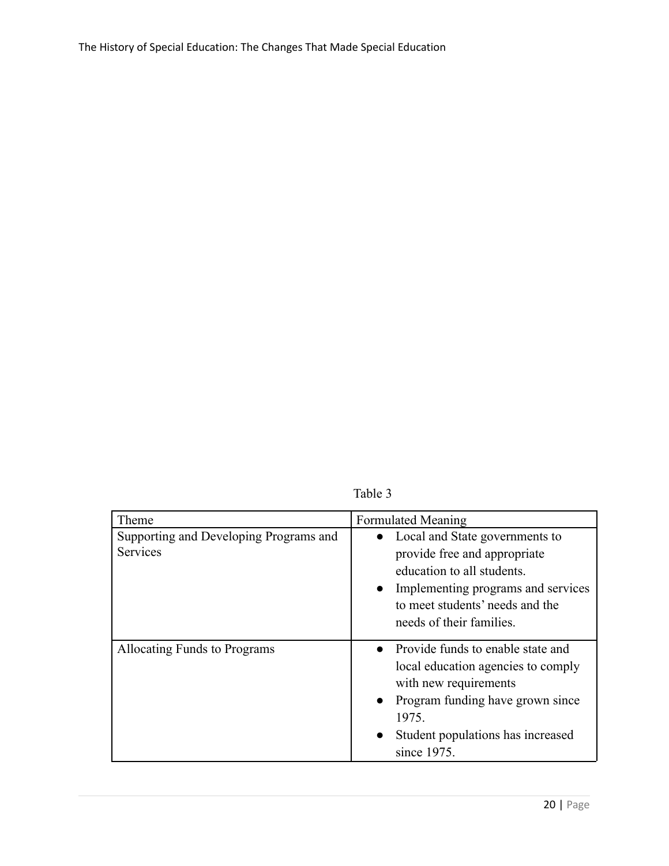Table 3

| Theme                                                     | <b>Formulated Meaning</b>                                                                                                                                                                                          |
|-----------------------------------------------------------|--------------------------------------------------------------------------------------------------------------------------------------------------------------------------------------------------------------------|
| Supporting and Developing Programs and<br><b>Services</b> | • Local and State governments to<br>provide free and appropriate<br>education to all students.<br>• Implementing programs and services<br>to meet students' needs and the<br>needs of their families.              |
| Allocating Funds to Programs                              | • Provide funds to enable state and<br>local education agencies to comply<br>with new requirements<br>• Program funding have grown since<br>1975.<br>Student populations has increased<br>$\bullet$<br>since 1975. |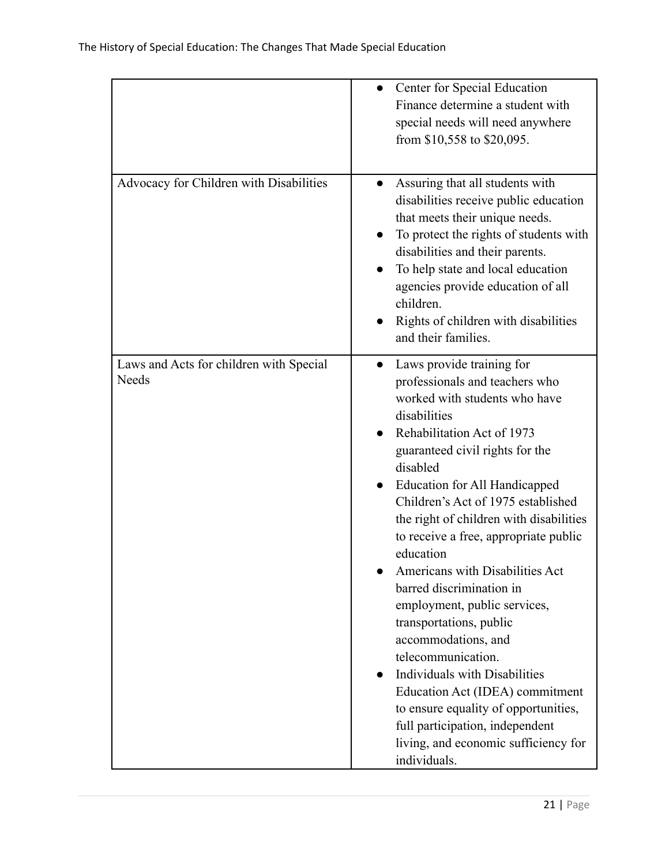|                                                  | • Center for Special Education<br>Finance determine a student with<br>special needs will need anywhere<br>from \$10,558 to \$20,095.                                                                                                                                                                                                                                                                                                                                                                                                                                                                                                                                                                                                                                |
|--------------------------------------------------|---------------------------------------------------------------------------------------------------------------------------------------------------------------------------------------------------------------------------------------------------------------------------------------------------------------------------------------------------------------------------------------------------------------------------------------------------------------------------------------------------------------------------------------------------------------------------------------------------------------------------------------------------------------------------------------------------------------------------------------------------------------------|
| Advocacy for Children with Disabilities          | Assuring that all students with<br>disabilities receive public education<br>that meets their unique needs.<br>To protect the rights of students with<br>disabilities and their parents.<br>To help state and local education<br>agencies provide education of all<br>children.<br>Rights of children with disabilities<br>and their families.                                                                                                                                                                                                                                                                                                                                                                                                                       |
| Laws and Acts for children with Special<br>Needs | Laws provide training for<br>$\bullet$<br>professionals and teachers who<br>worked with students who have<br>disabilities<br>Rehabilitation Act of 1973<br>guaranteed civil rights for the<br>disabled<br>Education for All Handicapped<br>Children's Act of 1975 established<br>the right of children with disabilities<br>to receive a free, appropriate public<br>education<br>Americans with Disabilities Act<br>barred discrimination in<br>employment, public services,<br>transportations, public<br>accommodations, and<br>telecommunication.<br><b>Individuals with Disabilities</b><br>Education Act (IDEA) commitment<br>to ensure equality of opportunities,<br>full participation, independent<br>living, and economic sufficiency for<br>individuals. |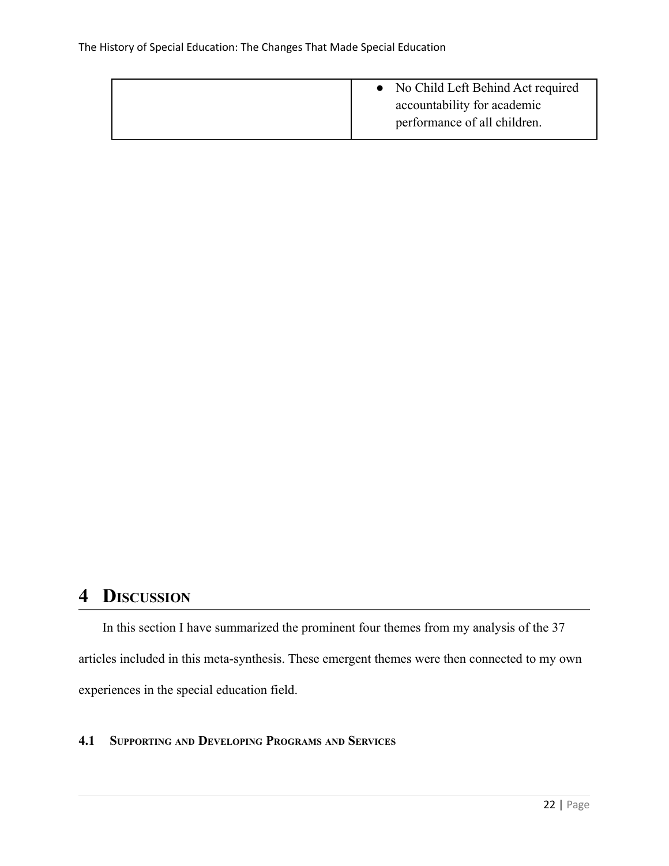| No Child Left Behind Act required<br>$\bullet$ |
|------------------------------------------------|
| accountability for academic                    |
| performance of all children.                   |
|                                                |

# **4 DISCUSSION**

In this section I have summarized the prominent four themes from my analysis of the 37 articles included in this meta-synthesis. These emergent themes were then connected to my own experiences in the special education field.

### **4.1 SUPPORTING AND DEVELOPING PROGRAMS AND SERVICES**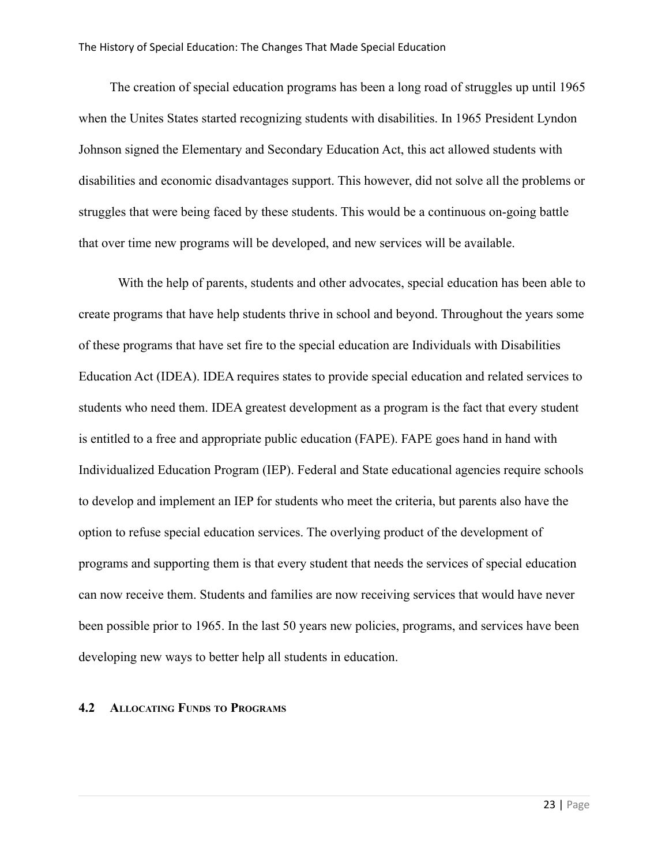The creation of special education programs has been a long road of struggles up until 1965 when the Unites States started recognizing students with disabilities. In 1965 President Lyndon Johnson signed the Elementary and Secondary Education Act, this act allowed students with disabilities and economic disadvantages support. This however, did not solve all the problems or struggles that were being faced by these students. This would be a continuous on-going battle that over time new programs will be developed, and new services will be available.

With the help of parents, students and other advocates, special education has been able to create programs that have help students thrive in school and beyond. Throughout the years some of these programs that have set fire to the special education are Individuals with Disabilities Education Act (IDEA). IDEA requires states to provide special education and related services to students who need them. IDEA greatest development as a program is the fact that every student is entitled to a free and appropriate public education (FAPE). FAPE goes hand in hand with Individualized Education Program (IEP). Federal and State educational agencies require schools to develop and implement an IEP for students who meet the criteria, but parents also have the option to refuse special education services. The overlying product of the development of programs and supporting them is that every student that needs the services of special education can now receive them. Students and families are now receiving services that would have never been possible prior to 1965. In the last 50 years new policies, programs, and services have been developing new ways to better help all students in education.

#### **4.2 ALLOCATING FUNDS TO PROGRAMS**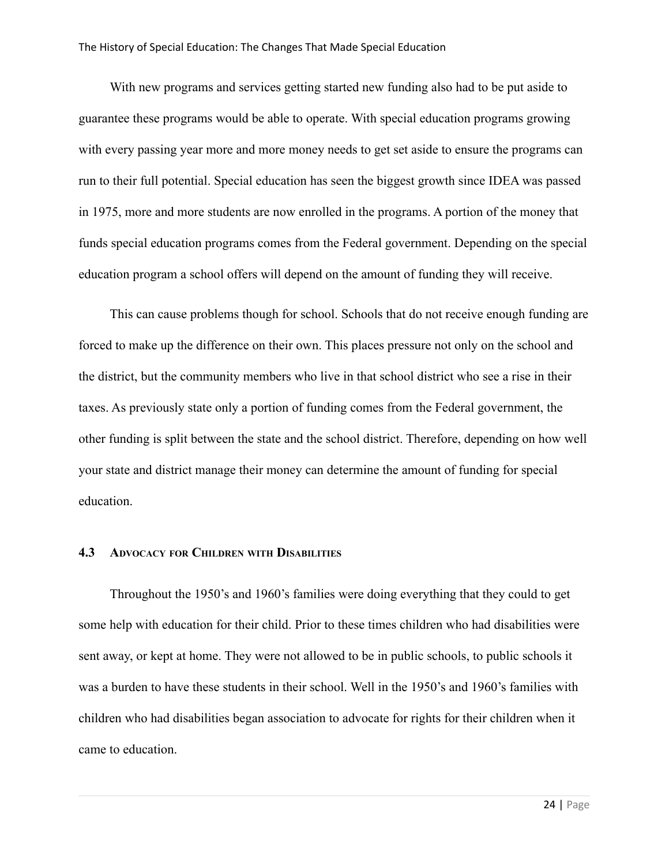With new programs and services getting started new funding also had to be put aside to guarantee these programs would be able to operate. With special education programs growing with every passing year more and more money needs to get set aside to ensure the programs can run to their full potential. Special education has seen the biggest growth since IDEA was passed in 1975, more and more students are now enrolled in the programs. A portion of the money that funds special education programs comes from the Federal government. Depending on the special education program a school offers will depend on the amount of funding they will receive.

This can cause problems though for school. Schools that do not receive enough funding are forced to make up the difference on their own. This places pressure not only on the school and the district, but the community members who live in that school district who see a rise in their taxes. As previously state only a portion of funding comes from the Federal government, the other funding is split between the state and the school district. Therefore, depending on how well your state and district manage their money can determine the amount of funding for special education.

#### **4.3 ADVOCACY FOR CHILDREN WITH DISABILITIES**

Throughout the 1950's and 1960's families were doing everything that they could to get some help with education for their child. Prior to these times children who had disabilities were sent away, or kept at home. They were not allowed to be in public schools, to public schools it was a burden to have these students in their school. Well in the 1950's and 1960's families with children who had disabilities began association to advocate for rights for their children when it came to education.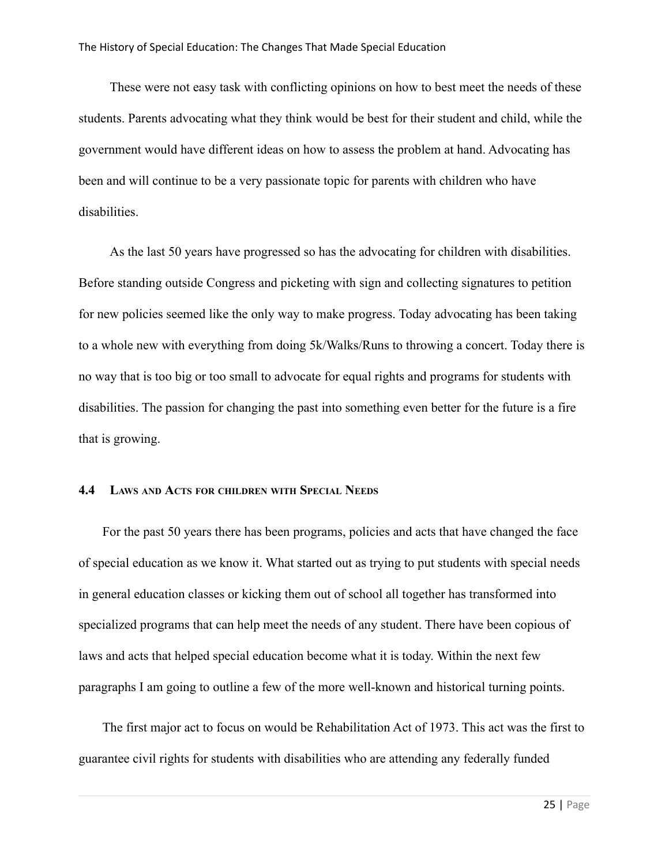These were not easy task with conflicting opinions on how to best meet the needs of these students. Parents advocating what they think would be best for their student and child, while the government would have different ideas on how to assess the problem at hand. Advocating has been and will continue to be a very passionate topic for parents with children who have disabilities.

As the last 50 years have progressed so has the advocating for children with disabilities. Before standing outside Congress and picketing with sign and collecting signatures to petition for new policies seemed like the only way to make progress. Today advocating has been taking to a whole new with everything from doing 5k/Walks/Runs to throwing a concert. Today there is no way that is too big or too small to advocate for equal rights and programs for students with disabilities. The passion for changing the past into something even better for the future is a fire that is growing.

#### **4.4 LAWS AND ACTS FOR CHILDREN WITH SPECIAL NEEDS**

For the past 50 years there has been programs, policies and acts that have changed the face of special education as we know it. What started out as trying to put students with special needs in general education classes or kicking them out of school all together has transformed into specialized programs that can help meet the needs of any student. There have been copious of laws and acts that helped special education become what it is today. Within the next few paragraphs I am going to outline a few of the more well-known and historical turning points.

The first major act to focus on would be Rehabilitation Act of 1973. This act was the first to guarantee civil rights for students with disabilities who are attending any federally funded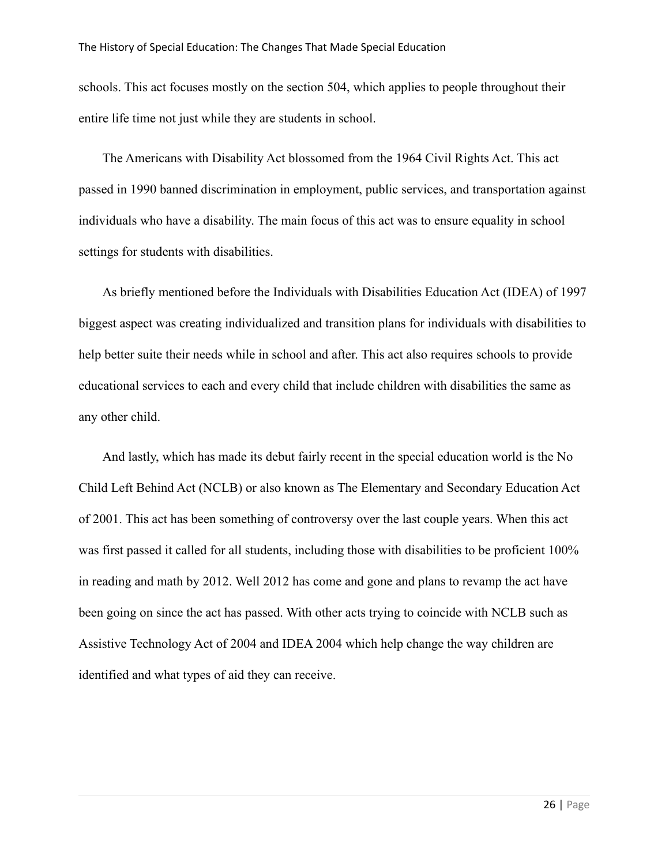schools. This act focuses mostly on the section 504, which applies to people throughout their entire life time not just while they are students in school.

The Americans with Disability Act blossomed from the 1964 Civil Rights Act. This act passed in 1990 banned discrimination in employment, public services, and transportation against individuals who have a disability. The main focus of this act was to ensure equality in school settings for students with disabilities.

As briefly mentioned before the Individuals with Disabilities Education Act (IDEA) of 1997 biggest aspect was creating individualized and transition plans for individuals with disabilities to help better suite their needs while in school and after. This act also requires schools to provide educational services to each and every child that include children with disabilities the same as any other child.

And lastly, which has made its debut fairly recent in the special education world is the No Child Left Behind Act (NCLB) or also known as The Elementary and Secondary Education Act of 2001. This act has been something of controversy over the last couple years. When this act was first passed it called for all students, including those with disabilities to be proficient 100% in reading and math by 2012. Well 2012 has come and gone and plans to revamp the act have been going on since the act has passed. With other acts trying to coincide with NCLB such as Assistive Technology Act of 2004 and IDEA 2004 which help change the way children are identified and what types of aid they can receive.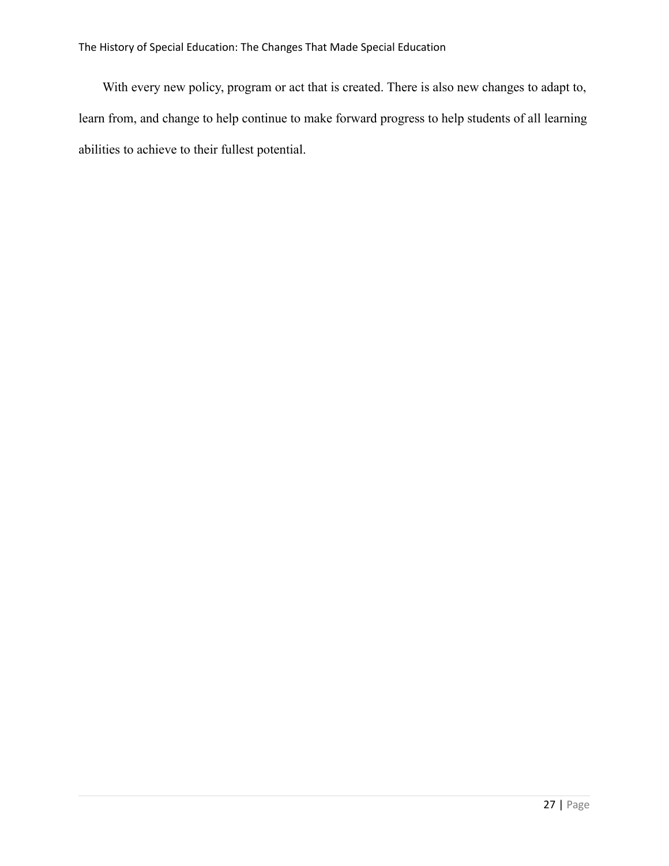With every new policy, program or act that is created. There is also new changes to adapt to, learn from, and change to help continue to make forward progress to help students of all learning abilities to achieve to their fullest potential.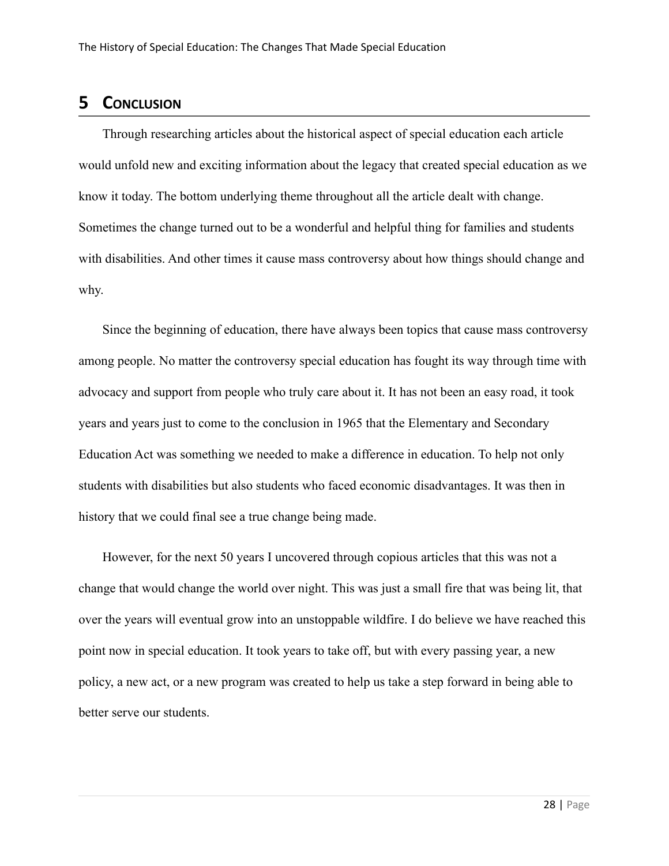# **5 CONCLUSION**

Through researching articles about the historical aspect of special education each article would unfold new and exciting information about the legacy that created special education as we know it today. The bottom underlying theme throughout all the article dealt with change. Sometimes the change turned out to be a wonderful and helpful thing for families and students with disabilities. And other times it cause mass controversy about how things should change and why.

Since the beginning of education, there have always been topics that cause mass controversy among people. No matter the controversy special education has fought its way through time with advocacy and support from people who truly care about it. It has not been an easy road, it took years and years just to come to the conclusion in 1965 that the Elementary and Secondary Education Act was something we needed to make a difference in education. To help not only students with disabilities but also students who faced economic disadvantages. It was then in history that we could final see a true change being made.

However, for the next 50 years I uncovered through copious articles that this was not a change that would change the world over night. This was just a small fire that was being lit, that over the years will eventual grow into an unstoppable wildfire. I do believe we have reached this point now in special education. It took years to take off, but with every passing year, a new policy, a new act, or a new program was created to help us take a step forward in being able to better serve our students.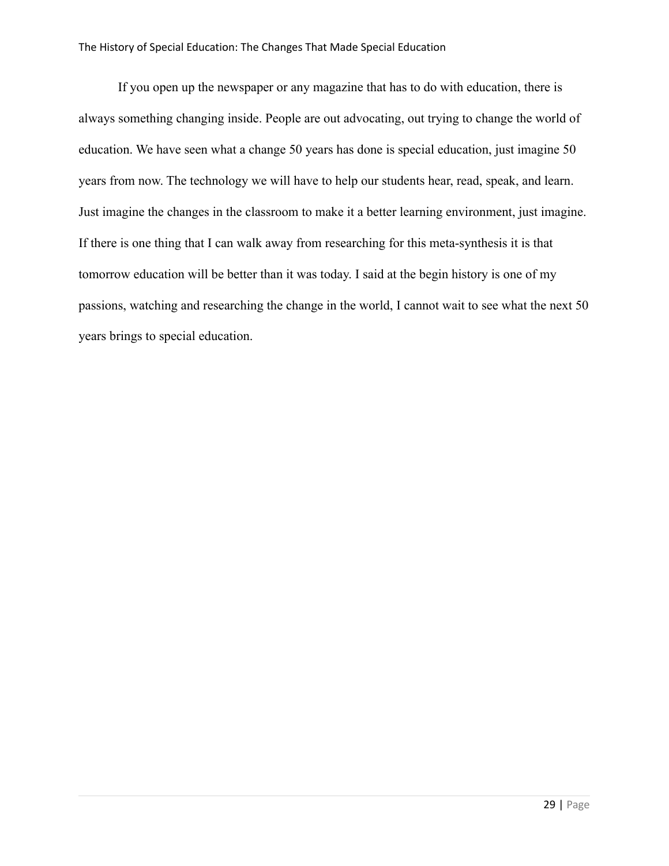#### The History of Special Education: The Changes That Made Special Education

If you open up the newspaper or any magazine that has to do with education, there is always something changing inside. People are out advocating, out trying to change the world of education. We have seen what a change 50 years has done is special education, just imagine 50 years from now. The technology we will have to help our students hear, read, speak, and learn. Just imagine the changes in the classroom to make it a better learning environment, just imagine. If there is one thing that I can walk away from researching for this meta-synthesis it is that tomorrow education will be better than it was today. I said at the begin history is one of my passions, watching and researching the change in the world, I cannot wait to see what the next 50 years brings to special education.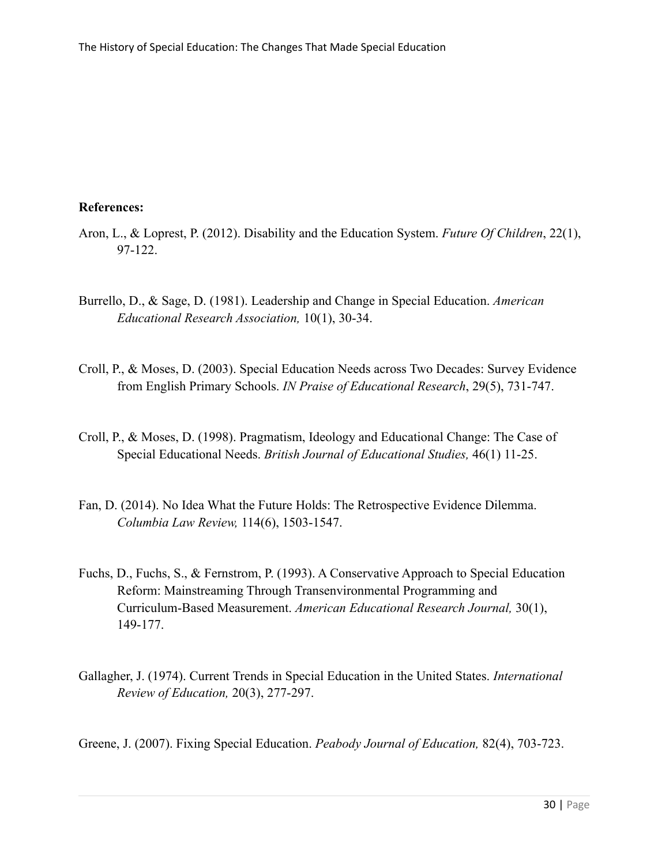### **References:**

- Aron, L., & Loprest, P. (2012). Disability and the Education System. *Future Of Children*, 22(1), 97-122.
- Burrello, D., & Sage, D. (1981). Leadership and Change in Special Education. *American Educational Research Association,* 10(1), 30-34.
- Croll, P., & Moses, D. (2003). Special Education Needs across Two Decades: Survey Evidence from English Primary Schools. *IN Praise of Educational Research*, 29(5), 731-747.
- Croll, P., & Moses, D. (1998). Pragmatism, Ideology and Educational Change: The Case of Special Educational Needs. *British Journal of Educational Studies,* 46(1) 11-25.
- Fan, D. (2014). No Idea What the Future Holds: The Retrospective Evidence Dilemma. *Columbia Law Review,* 114(6), 1503-1547.
- Fuchs, D., Fuchs, S., & Fernstrom, P. (1993). A Conservative Approach to Special Education Reform: Mainstreaming Through Transenvironmental Programming and Curriculum-Based Measurement. *American Educational Research Journal,* 30(1), 149-177.
- Gallagher, J. (1974). Current Trends in Special Education in the United States. *International Review of Education,* 20(3), 277-297.

Greene, J. (2007). Fixing Special Education. *Peabody Journal of Education,* 82(4), 703-723.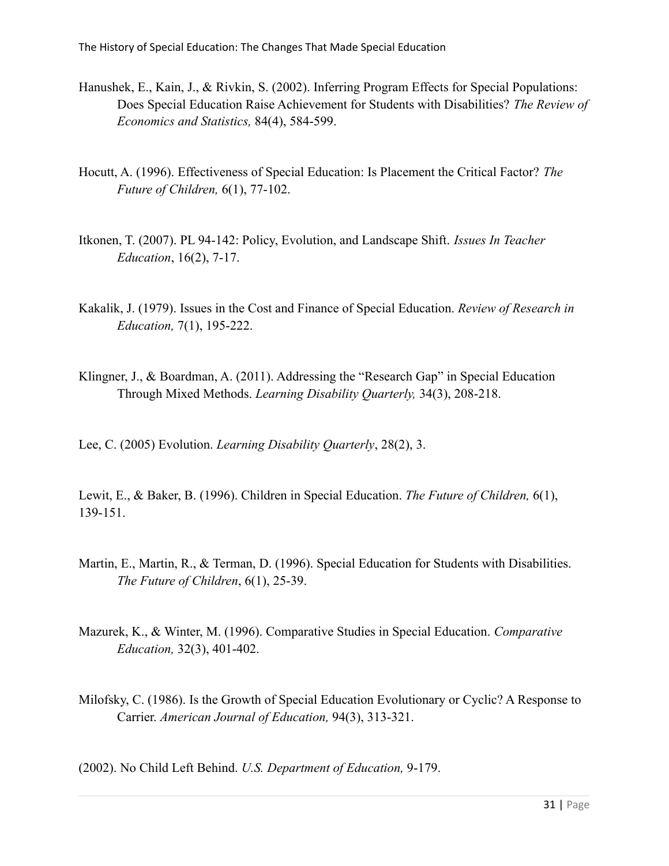- Hanushek, E., Kain, J., & Rivkin, S. (2002). Inferring Program Effects for Special Populations: Does Special Education Raise Achievement for Students with Disabilities? *The Review of Economics and Statistics,* 84(4), 584-599.
- Hocutt, A. (1996). Effectiveness of Special Education: Is Placement the Critical Factor? *The Future of Children,* 6(1), 77-102.
- Itkonen, T. (2007). PL 94-142: Policy, Evolution, and Landscape Shift. *Issues In Teacher Education*, 16(2), 7-17.
- Kakalik, J. (1979). Issues in the Cost and Finance of Special Education. *Review of Research in Education,* 7(1), 195-222.
- Klingner, J., & Boardman, A. (2011). Addressing the "Research Gap" in Special Education Through Mixed Methods. *Learning Disability Quarterly,* 34(3), 208-218.

Lee, C. (2005) Evolution. *Learning Disability Quarterly*, 28(2), 3.

Lewit, E., & Baker, B. (1996). Children in Special Education. *The Future of Children,* 6(1), 139-151.

- Martin, E., Martin, R., & Terman, D. (1996). Special Education for Students with Disabilities. *The Future of Children*, 6(1), 25-39.
- Mazurek, K., & Winter, M. (1996). Comparative Studies in Special Education. *Comparative Education,* 32(3), 401-402.
- Milofsky, C. (1986). Is the Growth of Special Education Evolutionary or Cyclic? A Response to Carrier. *American Journal of Education,* 94(3), 313-321.

(2002). No Child Left Behind. *U.S. Department of Education,* 9-179.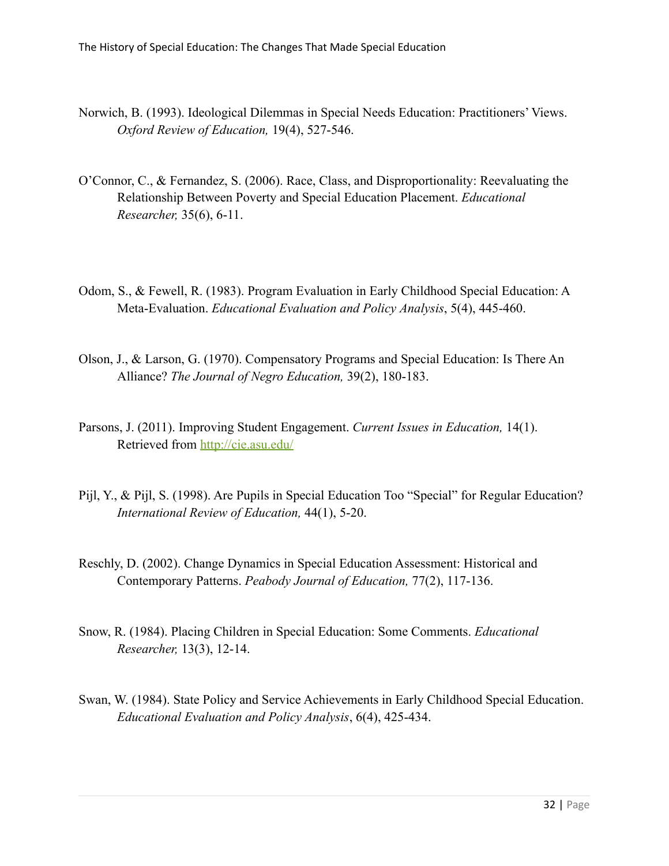- Norwich, B. (1993). Ideological Dilemmas in Special Needs Education: Practitioners' Views. *Oxford Review of Education,* 19(4), 527-546.
- O'Connor, C., & Fernandez, S. (2006). Race, Class, and Disproportionality: Reevaluating the Relationship Between Poverty and Special Education Placement. *Educational Researcher,* 35(6), 6-11.
- Odom, S., & Fewell, R. (1983). Program Evaluation in Early Childhood Special Education: A Meta-Evaluation. *Educational Evaluation and Policy Analysis*, 5(4), 445-460.
- Olson, J., & Larson, G. (1970). Compensatory Programs and Special Education: Is There An Alliance? *The Journal of Negro Education,* 39(2), 180-183.
- Parsons, J. (2011). Improving Student Engagement. *Current Issues in Education,* 14(1). Retrieved from <http://cie.asu.edu/>
- Pijl, Y., & Pijl, S. (1998). Are Pupils in Special Education Too "Special" for Regular Education? *International Review of Education,* 44(1), 5-20.
- Reschly, D. (2002). Change Dynamics in Special Education Assessment: Historical and Contemporary Patterns. *Peabody Journal of Education,* 77(2), 117-136.
- Snow, R. (1984). Placing Children in Special Education: Some Comments. *Educational Researcher,* 13(3), 12-14.
- Swan, W. (1984). State Policy and Service Achievements in Early Childhood Special Education. *Educational Evaluation and Policy Analysis*, 6(4), 425-434.